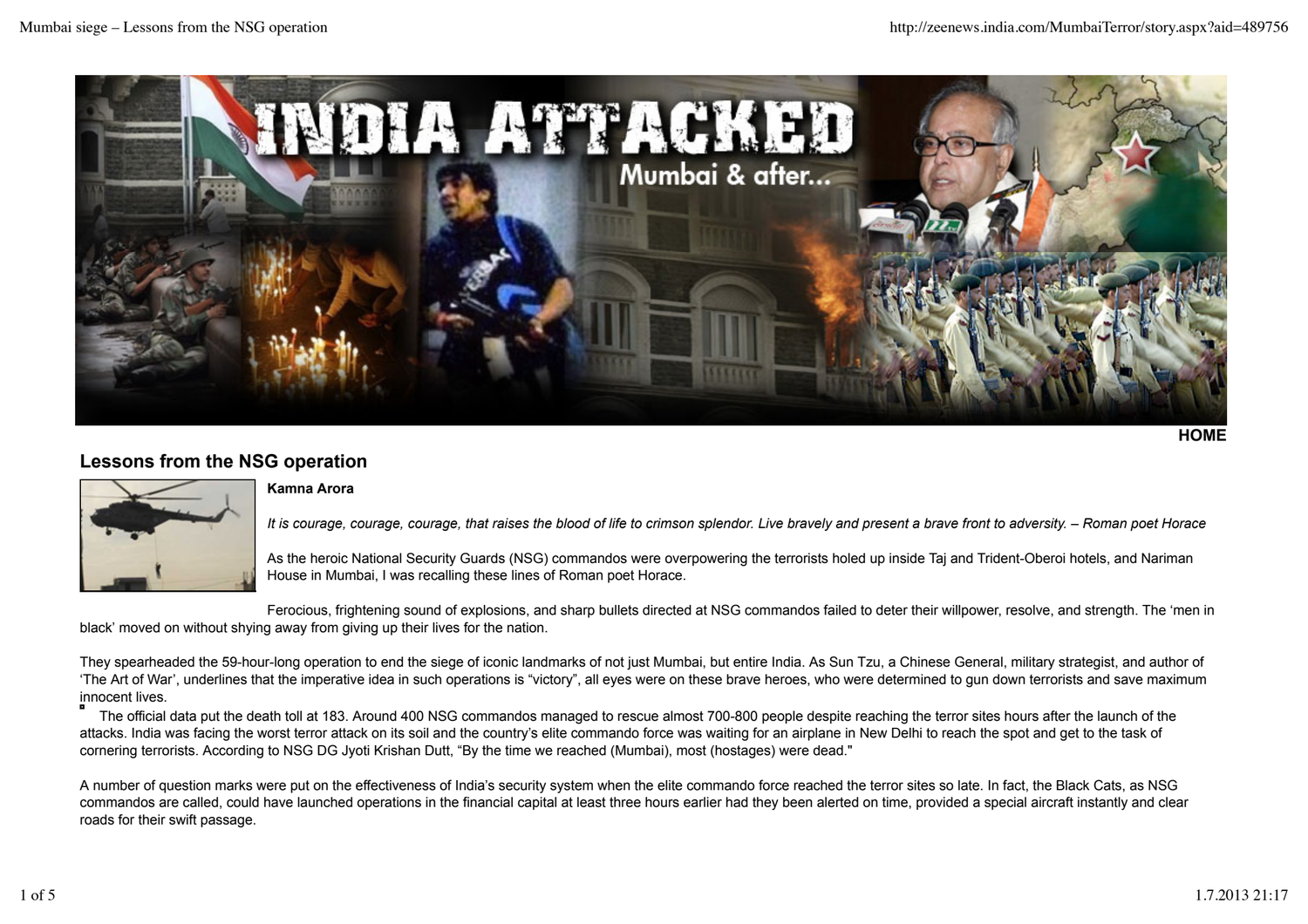

```
HOME
```
## **Lessons from the NSG operation**



## **Kamna Arora**

*It is courage, courage, courage, that raises the blood of life to crimson splendor. Live bravely and present a brave front to adversity. – Roman poet Horace*

As the heroic National Security Guards (NSG) commandos were overpowering the terrorists holed up inside Taj and Trident-Oberoi hotels, and Nariman House in Mumbai, I was recalling these lines of Roman poet Horace.

Ferocious, frightening sound of explosions, and sharp bullets directed at NSG commandos failed to deter their willpower, resolve, and strength. The 'men in black' moved on without shying away from giving up their lives for the nation.

They spearheaded the 59-hour-long operation to end the siege of iconic landmarks of not just Mumbai, but entire India. As Sun Tzu, a Chinese General, military strategist, and author of 'The Art of War', underlines that the imperative idea in such operations is "victory", all eyes were on these brave heroes, who were determined to gun down terrorists and save maximum innocent lives.

 The official data put the death toll at 183. Around 400 NSG commandos managed to rescue almost 700-800 people despite reaching the terror sites hours after the launch of the attacks. India was facing the worst terror attack on its soil and the country's elite commando force was waiting for an airplane in New Delhi to reach the spot and get to the task of cornering terrorists. According to NSG DG Jyoti Krishan Dutt, "By the time we reached (Mumbai), most (hostages) were dead."

A number of question marks were put on the effectiveness of India's security system when the elite commando force reached the terror sites so late. In fact, the Black Cats, as NSG commandos are called, could have launched operations in the financial capital at least three hours earlier had they been alerted on time, provided a special aircraft instantly and clear roads for their swift passage.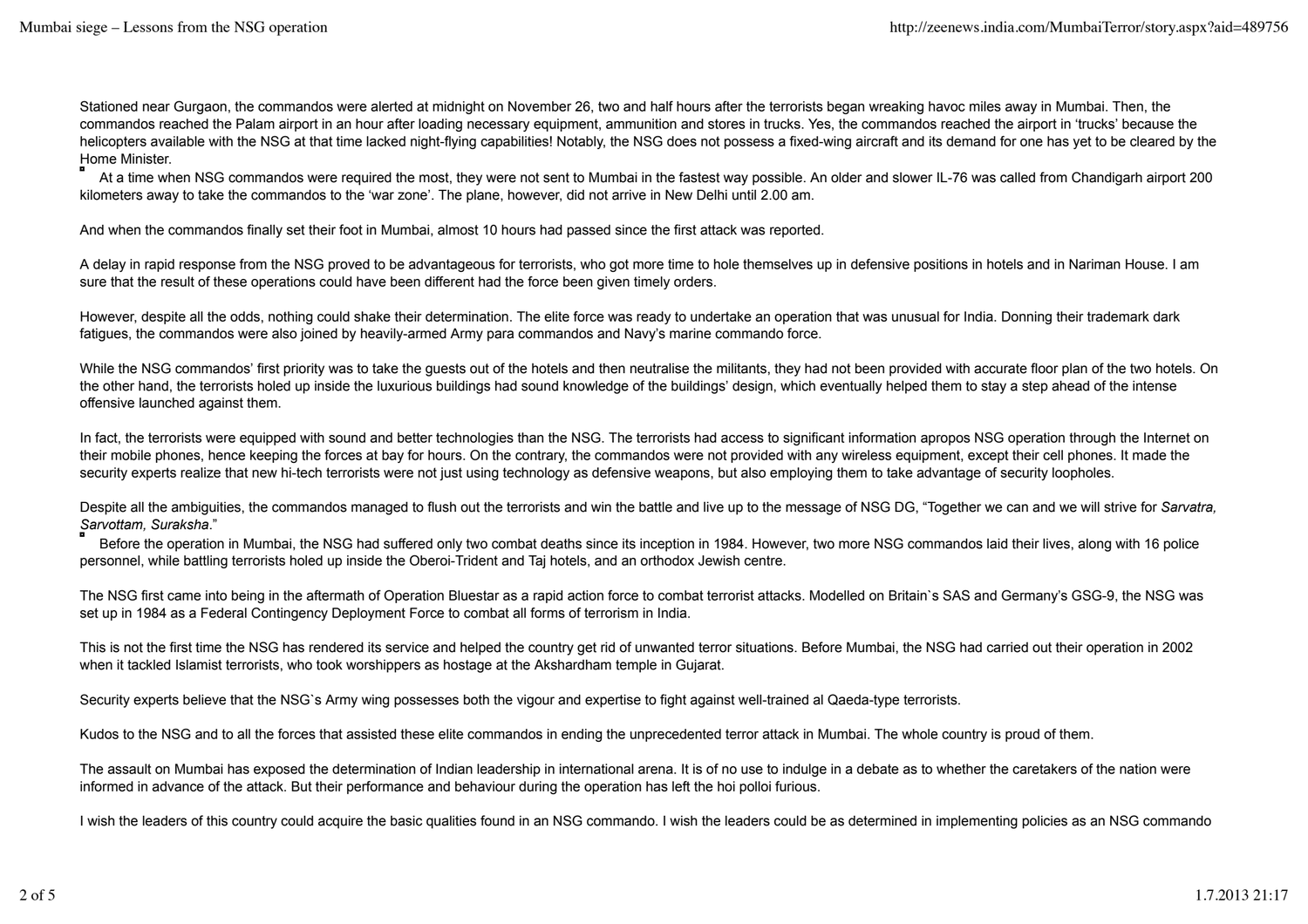Stationed near Gurgaon, the commandos were alerted at midnight on November 26, two and half hours after the terrorists began wreaking havoc miles away in Mumbai. Then, the commandos reached the Palam airport in an hour after loading necessary equipment, ammunition and stores in trucks. Yes, the commandos reached the airport in 'trucks' because the helicopters available with the NSG at that time lacked night-flying capabilities! Notably, the NSG does not possess a fixed-wing aircraft and its demand for one has yet to be cleared by the Home Minister.

 At a time when NSG commandos were required the most, they were not sent to Mumbai in the fastest way possible. An older and slower IL-76 was called from Chandigarh airport 200 kilometers away to take the commandos to the 'war zone'. The plane, however, did not arrive in New Delhi until 2.00 am.

And when the commandos finally set their foot in Mumbai, almost 10 hours had passed since the first attack was reported.

A delay in rapid response from the NSG proved to be advantageous for terrorists, who got more time to hole themselves up in defensive positions in hotels and in Nariman House. I am sure that the result of these operations could have been different had the force been given timely orders.

However, despite all the odds, nothing could shake their determination. The elite force was ready to undertake an operation that was unusual for India. Donning their trademark dark fatigues, the commandos were also joined by heavily-armed Army para commandos and Navy's marine commando force.

While the NSG commandos' first priority was to take the guests out of the hotels and then neutralise the militants, they had not been provided with accurate floor plan of the two hotels. On the other hand, the terrorists holed up inside the luxurious buildings had sound knowledge of the buildings' design, which eventually helped them to stay a step ahead of the intense offensive launched against them.

In fact, the terrorists were equipped with sound and better technologies than the NSG. The terrorists had access to significant information apropos NSG operation through the Internet on their mobile phones, hence keeping the forces at bay for hours. On the contrary, the commandos were not provided with any wireless equipment, except their cell phones. It made the security experts realize that new hi-tech terrorists were not just using technology as defensive weapons, but also employing them to take advantage of security loopholes.

Despite all the ambiguities, the commandos managed to flush out the terrorists and win the battle and live up to the message of NSG DG, "Together we can and we will strive for *Sarvatra, Sarvottam, Suraksha*."

Before the operation in Mumbai, the NSG had suffered only two combat deaths since its inception in 1984. However, two more NSG commandos laid their lives, along with 16 police personnel, while battling terrorists holed up inside the Oberoi-Trident and Taj hotels, and an orthodox Jewish centre.

The NSG first came into being in the aftermath of Operation Bluestar as a rapid action force to combat terrorist attacks. Modelled on Britain`s SAS and Germany's GSG-9, the NSG was set up in 1984 as a Federal Contingency Deployment Force to combat all forms of terrorism in India.

This is not the first time the NSG has rendered its service and helped the country get rid of unwanted terror situations. Before Mumbai, the NSG had carried out their operation in 2002 when it tackled Islamist terrorists, who took worshippers as hostage at the Akshardham temple in Gujarat.

Security experts believe that the NSG`s Army wing possesses both the vigour and expertise to fight against well-trained al Qaeda-type terrorists.

Kudos to the NSG and to all the forces that assisted these elite commandos in ending the unprecedented terror attack in Mumbai. The whole country is proud of them.

The assault on Mumbai has exposed the determination of Indian leadership in international arena. It is of no use to indulge in a debate as to whether the caretakers of the nation were informed in advance of the attack. But their performance and behaviour during the operation has left the hoi polloi furious.

I wish the leaders of this country could acquire the basic qualities found in an NSG commando. I wish the leaders could be as determined in implementing policies as an NSG commando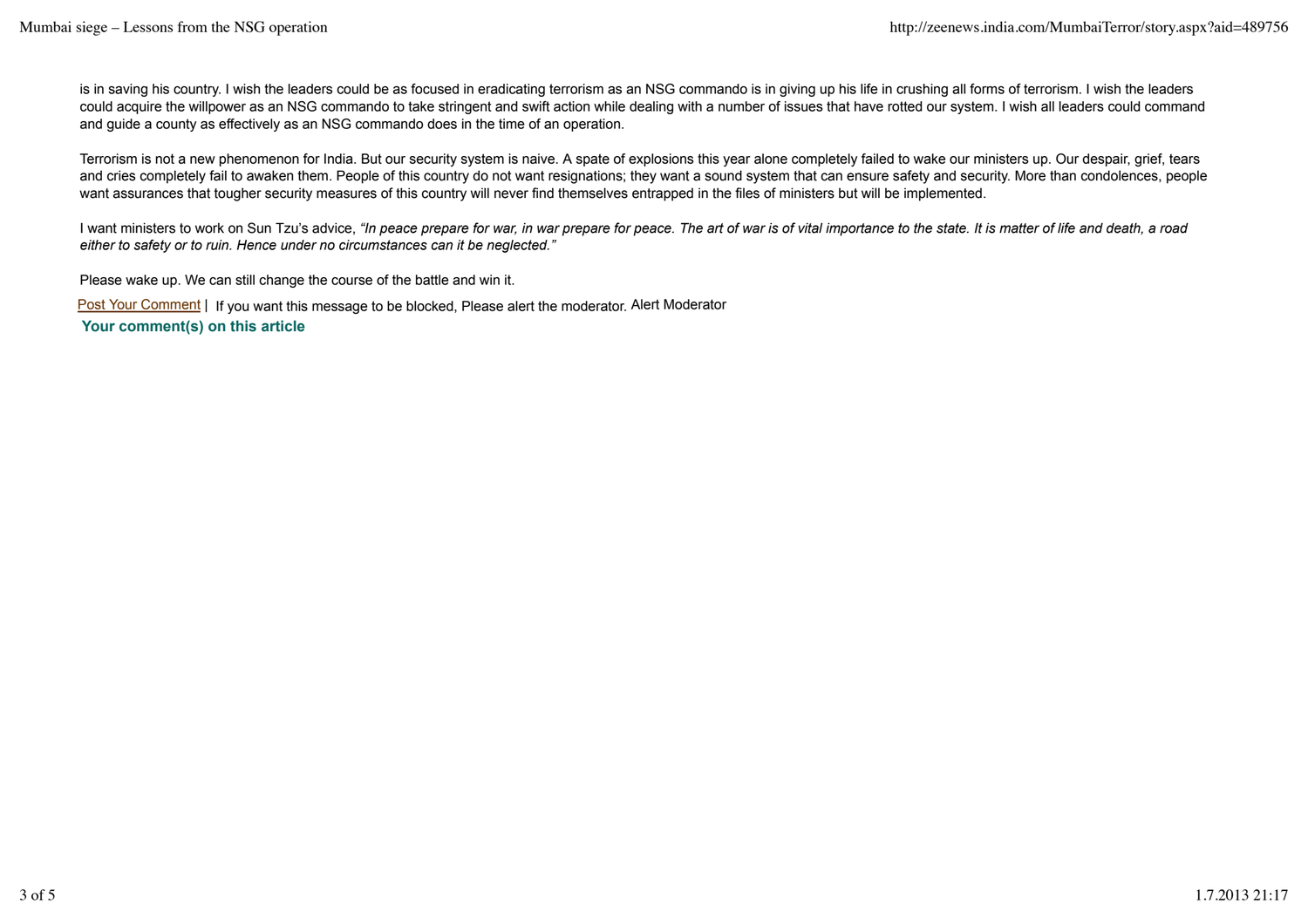is in saving his country. I wish the leaders could be as focused in eradicating terrorism as an NSG commando is in giving up his life in crushing all forms of terrorism. I wish the leaders could acquire the willpower as an NSG commando to take stringent and swift action while dealing with a number of issues that have rotted our system. I wish all leaders could command and guide a county as effectively as an NSG commando does in the time of an operation.

Terrorism is not a new phenomenon for India. But our security system is naive. A spate of explosions this year alone completely failed to wake our ministers up. Our despair, grief, tears and cries completely fail to awaken them. People of this country do not want resignations; they want a sound system that can ensure safety and security. More than condolences, people want assurances that tougher security measures of this country will never find themselves entrapped in the files of ministers but will be implemented.

I want ministers to work on Sun Tzu's advice, *"In peace prepare for war, in war prepare for peace. The art of war is of vital importance to the state. It is matter of life and death, a road either to safety or to ruin. Hence under no circumstances can it be neglected."*

Please wake up. We can still change the course of the battle and win it.

Post Your Comment | If you want this message to be blocked, Please alert the moderator. Alert Moderator  **Your comment(s) on this article**